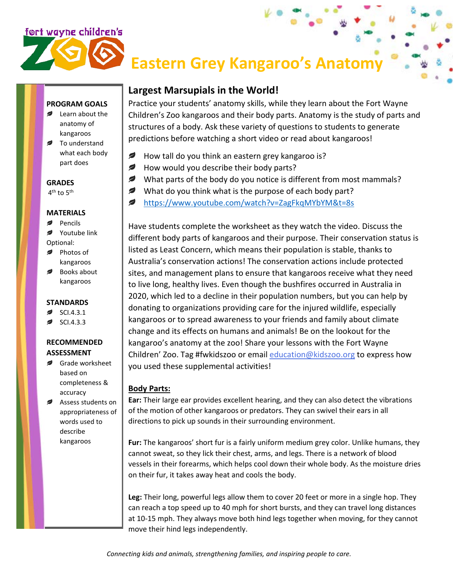# ført wayne children's

# **Eastern Grey Kangaroo's Anatomy**

# **PROGRAM GOALS**

- Learn about the anatomy of kangaroos
- **■** To understand what each body part does

### **GRADES**

4<sup>th</sup> to 5<sup>th</sup>

#### **MATERIALS**

- Pencils
- Youtube link Optional:
- Photos of
- kangaroos
- Books about kangaroos

## **STANDARDS**

- SCI.4.3.1
- SCI.4.3.3

# **RECOMMENDED ASSESSMENT**

- Grade worksheet based on completeness & accuracy
- Assess students on appropriateness of words used to describe kangaroos

# **Largest Marsupials in the World!**

Practice your students' anatomy skills, while they learn about the Fort Wayne Children's Zoo kangaroos and their body parts. Anatomy is the study of parts and structures of a body. Ask these variety of questions to students to generate predictions before watching a short video or read about kangaroos!

- Ø How tall do you think an eastern grey kangaroo is?
- ✍ How would you describe their body parts?
- What parts of the body do you notice is different from most mammals?
- ✍ What do you think what is the purpose of each body part?
- ℯ <https://www.youtube.com/watch?v=ZagFkqMYbYM&t=8s>

Have students complete the worksheet as they watch the video. Discuss the different body parts of kangaroos and their purpose. Their conservation status is listed as Least Concern, which means their population is stable, thanks to Australia's conservation actions! The conservation actions include protected sites, and management plans to ensure that kangaroos receive what they need to live long, healthy lives. Even though the bushfires occurred in Australia in 2020, which led to a decline in their population numbers, but you can help by donating to organizations providing care for the injured wildlife, especially kangaroos or to spread awareness to your friends and family about climate change and its effects on humans and animals! Be on the lookout for the kangaroo's anatomy at the zoo! Share your lessons with the Fort Wayne Children' Zoo. Tag #fwkidszoo or email [education@kidszoo.org](mailto:education@kidszoo.org) to express how you used these supplemental activities!

# **Body Parts:**

**Ear:** Their large ear provides excellent hearing, and they can also detect the vibrations of the motion of other kangaroos or predators. They can swivel their ears in all directions to pick up sounds in their surrounding environment.

**Fur:** The kangaroos' short fur is a fairly uniform medium grey color. Unlike humans, they cannot sweat, so they lick their chest, arms, and legs. There is a network of blood vessels in their forearms, which helps cool down their whole body. As the moisture dries on their fur, it takes away heat and cools the body.

**Leg:** Their long, powerful legs allow them to cover 20 feet or more in a single hop. They can reach a top speed up to 40 mph for short bursts, and they can travel long distances at 10-15 mph. They always move both hind legs together when moving, for they cannot move their hind legs independently.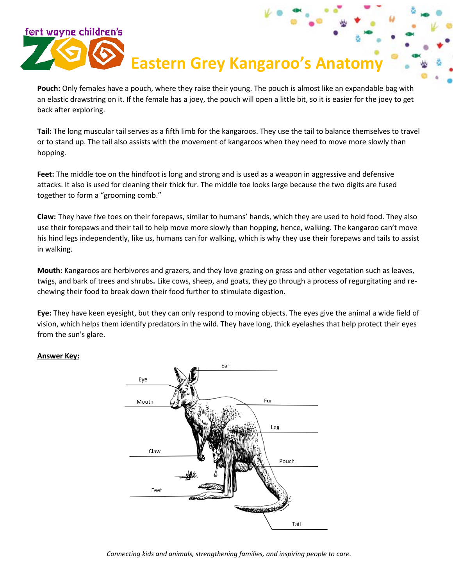# **Eastern Grey Kangaroo's Anatom**

**Pouch:** Only females have a pouch, where they raise their young. The pouch is almost like an expandable bag with an elastic drawstring on it. If the female has a joey, the pouch will open a little bit, so it is easier for the joey to get back after exploring.

**Tail:** The long muscular tail serves as a fifth limb for the kangaroos. They use the tail to balance themselves to travel or to stand up. The tail also assists with the movement of kangaroos when they need to move more slowly than hopping.

**Feet:** The middle toe on the hindfoot is long and strong and is used as a weapon in aggressive and defensive attacks. It also is used for cleaning their thick fur. The middle toe looks large because the two digits are fused together to form a "grooming comb."

**Claw:** They have five toes on their forepaws, similar to humans' hands, which they are used to hold food. They also use their forepaws and their tail to help move more slowly than hopping, hence, walking. The kangaroo can't move his hind legs independently, like us, humans can for walking, which is why they use their forepaws and tails to assist in walking.

**Mouth:** Kangaroos are herbivores and grazers, and they love grazing on grass and other vegetation such as leaves, twigs, and bark of trees and shrubs**.** Like cows, sheep, and goats, they go through a process of regurgitating and rechewing their food to break down their food further to stimulate digestion.

**Eye:** They have keen eyesight, but they can only respond to moving objects. The eyes give the animal a wide field of vision, which helps them identify predators in the wild. They have long, thick eyelashes that help protect their eyes from the sun's glare.

## **Answer Key:**

'ort wayne children's



*Connecting kids and animals, strengthening families, and inspiring people to care.*